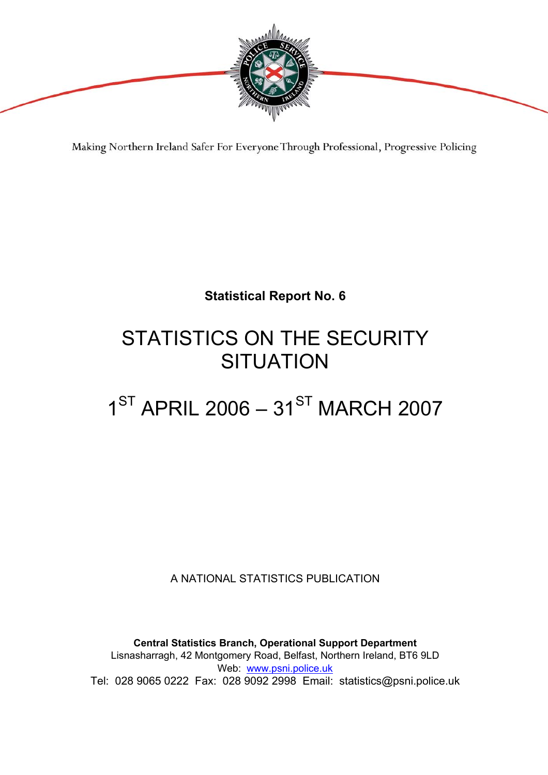

Making Northern Ireland Safer For Everyone Through Professional, Progressive Policing

# **Statistical Report No. 6**

# STATISTICS ON THE SECURITY **SITUATION**

# $1^{ST}$  APRIL 2006 –  $31^{ST}$  MARCH 2007

A NATIONAL STATISTICS PUBLICATION

**Central Statistics Branch, Operational Support Department**  Lisnasharragh, 42 Montgomery Road, Belfast, Northern Ireland, BT6 9LD Web: www.psni.police.uk Tel: 028 9065 0222 Fax: 028 9092 2998 Email: statistics@psni.police.uk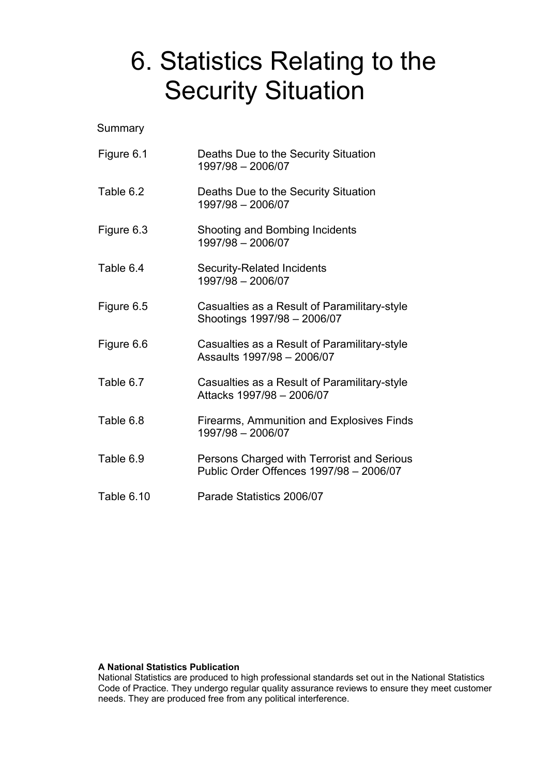# 6. Statistics Relating to the Security Situation

**Summary** 

| Figure 6.1 | Deaths Due to the Security Situation<br>1997/98 - 2006/07                             |
|------------|---------------------------------------------------------------------------------------|
| Table 6.2  | Deaths Due to the Security Situation<br>1997/98 - 2006/07                             |
| Figure 6.3 | Shooting and Bombing Incidents<br>1997/98 - 2006/07                                   |
| Table 6.4  | <b>Security-Related Incidents</b><br>1997/98 - 2006/07                                |
| Figure 6.5 | Casualties as a Result of Paramilitary-style<br>Shootings 1997/98 - 2006/07           |
| Figure 6.6 | Casualties as a Result of Paramilitary-style<br>Assaults 1997/98 - 2006/07            |
| Table 6.7  | Casualties as a Result of Paramilitary-style<br>Attacks 1997/98 - 2006/07             |
| Table 6.8  | Firearms, Ammunition and Explosives Finds<br>1997/98 - 2006/07                        |
| Table 6.9  | Persons Charged with Terrorist and Serious<br>Public Order Offences 1997/98 - 2006/07 |
| Table 6.10 | Parade Statistics 2006/07                                                             |

#### **A National Statistics Publication**

National Statistics are produced to high professional standards set out in the National Statistics Code of Practice. They undergo regular quality assurance reviews to ensure they meet customer needs. They are produced free from any political interference.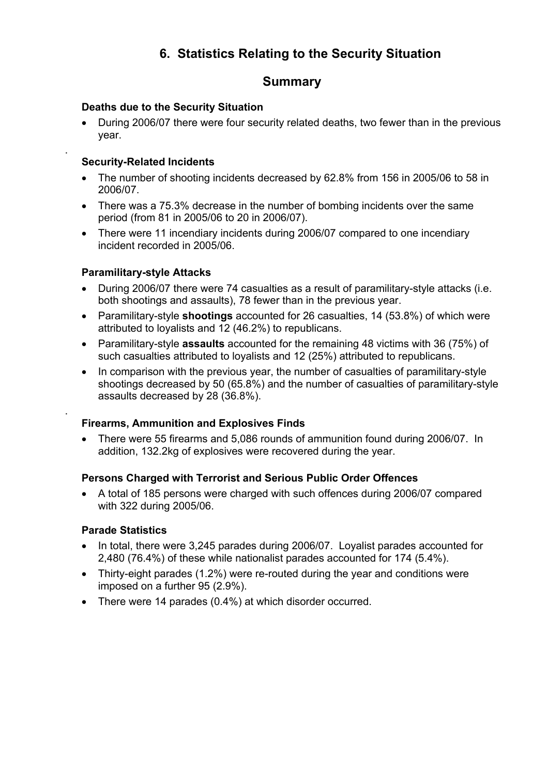## **6. Statistics Relating to the Security Situation**

### **Summary**

### **Deaths due to the Security Situation**

• During 2006/07 there were four security related deaths, two fewer than in the previous year.

#### **Security-Related Incidents**

.

.

- The number of shooting incidents decreased by 62.8% from 156 in 2005/06 to 58 in 2006/07.
- There was a 75.3% decrease in the number of bombing incidents over the same period (from 81 in 2005/06 to 20 in 2006/07).
- There were 11 incendiary incidents during 2006/07 compared to one incendiary incident recorded in 2005/06.

#### **Paramilitary-style Attacks**

- During 2006/07 there were 74 casualties as a result of paramilitary-style attacks (i.e. both shootings and assaults), 78 fewer than in the previous year.
- Paramilitary-style **shootings** accounted for 26 casualties, 14 (53.8%) of which were attributed to loyalists and 12 (46.2%) to republicans.
- Paramilitary-style **assaults** accounted for the remaining 48 victims with 36 (75%) of such casualties attributed to loyalists and 12 (25%) attributed to republicans.
- In comparison with the previous year, the number of casualties of paramilitary-style shootings decreased by 50 (65.8%) and the number of casualties of paramilitary-style assaults decreased by 28 (36.8%).

#### **Firearms, Ammunition and Explosives Finds**

• There were 55 firearms and 5,086 rounds of ammunition found during 2006/07. In addition, 132.2kg of explosives were recovered during the year.

#### **Persons Charged with Terrorist and Serious Public Order Offences**

• A total of 185 persons were charged with such offences during 2006/07 compared with 322 during 2005/06.

#### **Parade Statistics**

- In total, there were 3,245 parades during 2006/07. Loyalist parades accounted for 2,480 (76.4%) of these while nationalist parades accounted for 174 (5.4%).
- Thirty-eight parades (1.2%) were re-routed during the year and conditions were imposed on a further 95 (2.9%).
- There were 14 parades (0.4%) at which disorder occurred.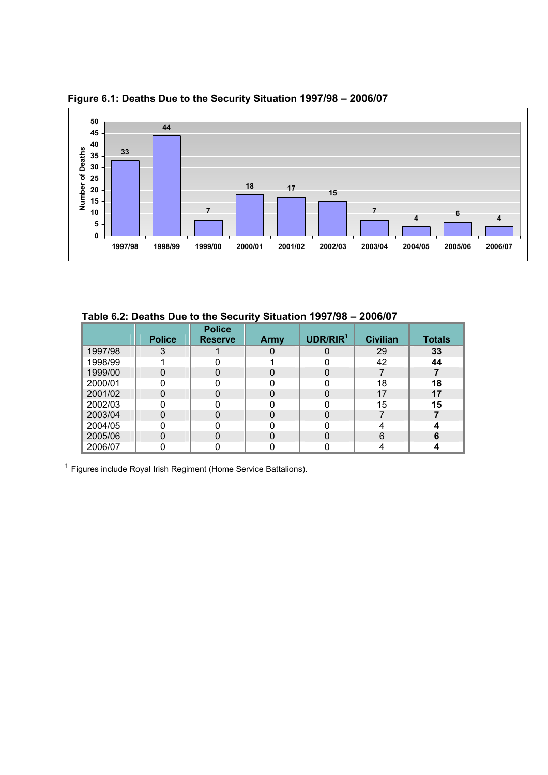

 **Figure 6.1: Deaths Due to the Security Situation 1997/98 – 2006/07**

 **Table 6.2: Deaths Due to the Security Situation 1997/98 – 2006/07**

|         | <b>Police</b> | <b>Police</b><br><b>Reserve</b> | Army | UDR/RIR <sup>1</sup> | <b>Civilian</b> | <b>Totals</b> |
|---------|---------------|---------------------------------|------|----------------------|-----------------|---------------|
| 1997/98 | 3             |                                 |      | O                    | 29              | 33            |
| 1998/99 |               |                                 |      |                      | 42              | 44            |
| 1999/00 |               |                                 |      | ი                    |                 |               |
| 2000/01 |               |                                 |      |                      | 18              | 18            |
| 2001/02 |               |                                 |      |                      | 17              | 17            |
| 2002/03 |               |                                 |      |                      | 15              | 15            |
| 2003/04 |               |                                 |      |                      |                 |               |
| 2004/05 |               |                                 |      |                      |                 |               |
| 2005/06 |               | 0                               |      |                      | 6               | 6             |
| 2006/07 |               |                                 |      |                      |                 |               |

<sup>1</sup> Figures include Royal Irish Regiment (Home Service Battalions).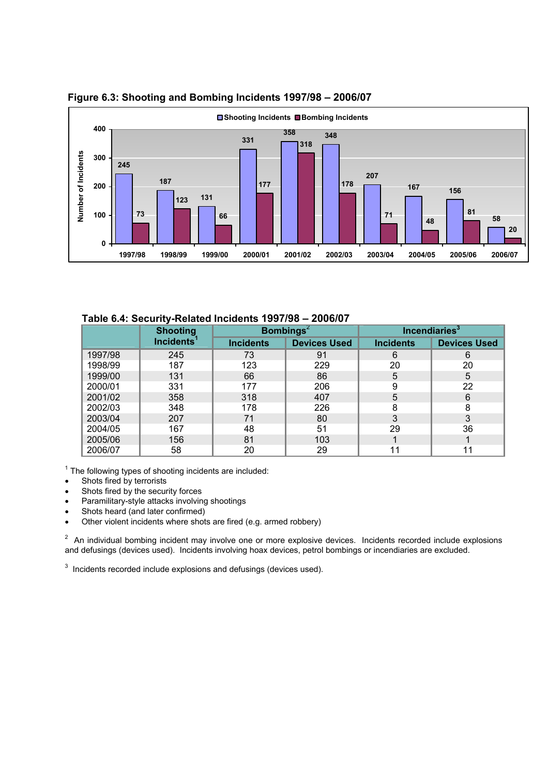

 **Figure 6.3: Shooting and Bombing Incidents 1997/98 – 2006/07**

 **Table 6.4: Security-Related Incidents 1997/98 – 2006/07**

|         | <b>Shooting</b>        |                                         | <b>Bombings</b> <sup>2</sup> |                  | Incendiaries <sup>3</sup> |  |
|---------|------------------------|-----------------------------------------|------------------------------|------------------|---------------------------|--|
|         | Incidents <sup>1</sup> | <b>Devices Used</b><br><b>Incidents</b> |                              | <b>Incidents</b> | <b>Devices Used</b>       |  |
| 1997/98 | 245                    | 73                                      | 91                           | 6                | 6                         |  |
| 1998/99 | 187                    | 123                                     | 229                          | 20               | 20                        |  |
| 1999/00 | 131                    | 66                                      | 86                           | 5                | 5                         |  |
| 2000/01 | 331                    | 177                                     | 206                          | 9                | 22                        |  |
| 2001/02 | 358                    | 318                                     | 407                          | 5                | 6                         |  |
| 2002/03 | 348                    | 178                                     | 226                          | 8                | 8                         |  |
| 2003/04 | 207                    | 71                                      | 80                           | 3                | 3                         |  |
| 2004/05 | 167                    | 48                                      | 51                           | 29               | 36                        |  |
| 2005/06 | 156                    | 81                                      | 103                          |                  |                           |  |
| 2006/07 | 58                     | 20                                      | 29                           | 11               |                           |  |

 $1$  The following types of shooting incidents are included:

- Shots fired by terrorists
- Shots fired by the security forces
- Paramilitary-style attacks involving shootings
- Shots heard (and later confirmed)
- Other violent incidents where shots are fired (e.g. armed robbery)

 $2$  An individual bombing incident may involve one or more explosive devices. Incidents recorded include explosions and defusings (devices used). Incidents involving hoax devices, petrol bombings or incendiaries are excluded.

 $3$  Incidents recorded include explosions and defusings (devices used).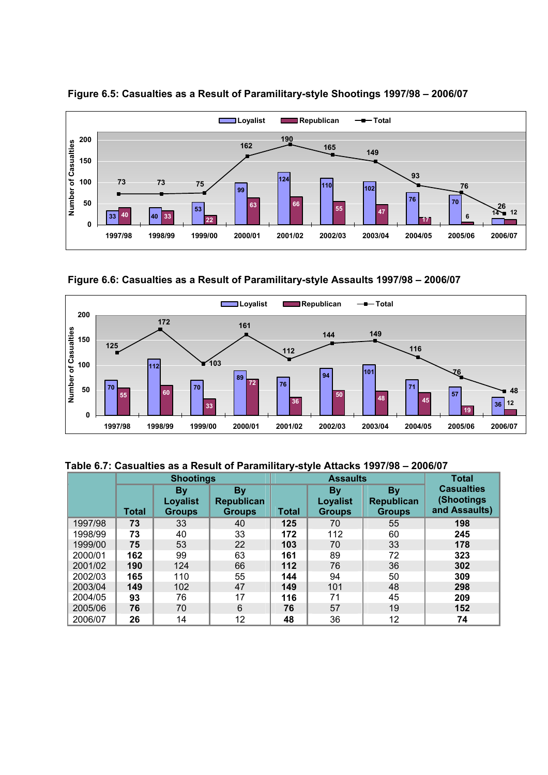

 **Figure 6.5: Casualties as a Result of Paramilitary-style Shootings 1997/98 – 2006/07** 

 **Figure 6.6: Casualties as a Result of Paramilitary-style Assaults 1997/98 – 2006/07** 



**Table 6.7: Casualties as a Result of Paramilitary-style Attacks 1997/98 – 2006/07** 

|         | <b>Shootings</b> |                                               |                                                 |              | <b>Assaults</b>                               | <b>Total</b>                             |                                                   |
|---------|------------------|-----------------------------------------------|-------------------------------------------------|--------------|-----------------------------------------------|------------------------------------------|---------------------------------------------------|
|         | <b>Total</b>     | <b>By</b><br><b>Loyalist</b><br><b>Groups</b> | <b>By</b><br><b>Republican</b><br><b>Groups</b> | <b>Total</b> | <b>By</b><br><b>Loyalist</b><br><b>Groups</b> | <b>By</b><br>Republican<br><b>Groups</b> | <b>Casualties</b><br>(Shootings)<br>and Assaults) |
| 1997/98 | 73               | 33                                            | 40                                              | 125          | 70                                            | 55                                       | 198                                               |
| 1998/99 | 73               | 40                                            | 33                                              | 172          | 112                                           | 60                                       | 245                                               |
| 1999/00 | 75               | 53                                            | 22                                              | 103          | 70                                            | 33                                       | 178                                               |
| 2000/01 | 162              | 99                                            | 63                                              | 161          | 89                                            | 72                                       | 323                                               |
| 2001/02 | 190              | 124                                           | 66                                              | 112          | 76                                            | 36                                       | 302                                               |
| 2002/03 | 165              | 110                                           | 55                                              | 144          | 94                                            | 50                                       | 309                                               |
| 2003/04 | 149              | 102                                           | 47                                              | 149          | 101                                           | 48                                       | 298                                               |
| 2004/05 | 93               | 76                                            | 17                                              | 116          | 71                                            | 45                                       | 209                                               |
| 2005/06 | 76               | 70                                            | 6                                               | 76           | 57                                            | 19                                       | 152                                               |
| 2006/07 | 26               | 14                                            | 12                                              | 48           | 36                                            | 12                                       | 74                                                |